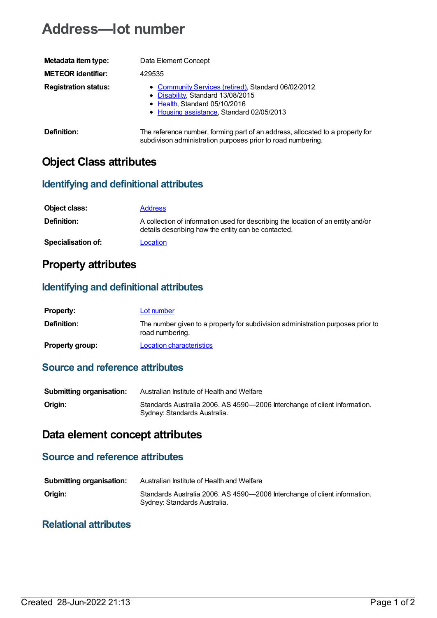# **Address—lot number**

| Metadata item type:         | Data Element Concept                                                                                                                                                   |
|-----------------------------|------------------------------------------------------------------------------------------------------------------------------------------------------------------------|
| <b>METEOR identifier:</b>   | 429535                                                                                                                                                                 |
| <b>Registration status:</b> | • Community Services (retired), Standard 06/02/2012<br>• Disability, Standard 13/08/2015<br>• Health, Standard 05/10/2016<br>• Housing assistance, Standard 02/05/2013 |
| Definition:                 | The reference number, forming part of an address, allocated to a property for                                                                                          |

subdivison administration purposes prior to road numbering.

## **Object Class attributes**

#### **Identifying and definitional attributes**

| Object class:             | <b>Address</b>                                                                                                                          |
|---------------------------|-----------------------------------------------------------------------------------------------------------------------------------------|
| <b>Definition:</b>        | A collection of information used for describing the location of an entity and/or<br>details describing how the entity can be contacted. |
| <b>Specialisation of:</b> | Location                                                                                                                                |

### **Property attributes**

#### **Identifying and definitional attributes**

| <b>Property:</b>       | Lot number                                                                                         |
|------------------------|----------------------------------------------------------------------------------------------------|
| <b>Definition:</b>     | The number given to a property for subdivision administration purposes prior to<br>road numbering. |
| <b>Property group:</b> | Location characteristics                                                                           |

#### **Source and reference attributes**

| <b>Submitting organisation:</b> | Australian Institute of Health and Welfare                                                                |
|---------------------------------|-----------------------------------------------------------------------------------------------------------|
| Origin:                         | Standards Australia 2006. AS 4590-2006 Interchange of client information.<br>Sydney: Standards Australia. |

### **Data element concept attributes**

#### **Source and reference attributes**

| <b>Submitting organisation:</b> | Australian Institute of Health and Welfare                                                                |
|---------------------------------|-----------------------------------------------------------------------------------------------------------|
| Origin:                         | Standards Australia 2006. AS 4590-2006 Interchange of client information.<br>Sydney: Standards Australia. |

#### **Relational attributes**